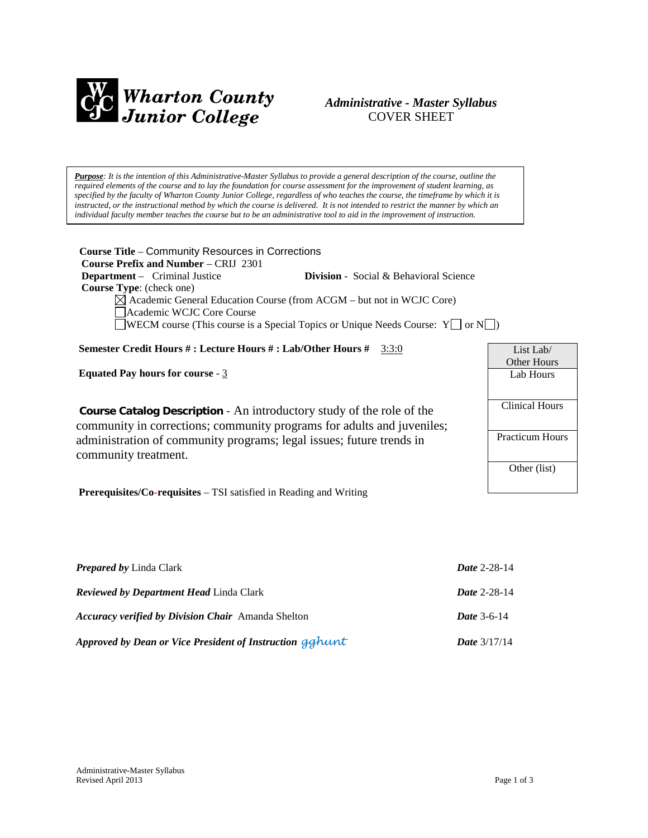

# *Administrative - Master Syllabus*  COVER SHEET

*Purpose: It is the intention of this Administrative-Master Syllabus to provide a general description of the course, outline the required elements of the course and to lay the foundation for course assessment for the improvement of student learning, as specified by the faculty of Wharton County Junior College, regardless of who teaches the course, the timeframe by which it is instructed, or the instructional method by which the course is delivered. It is not intended to restrict the manner by which an individual faculty member teaches the course but to be an administrative tool to aid in the improvement of instruction.*

**Course Title** – [Community Resources in Corrections](http://www.wcjc.edu/hb2504-compliance/documents/Law-Enforcement-Criminal-Justice-Master-Syllabi/CRIJ-2301-Community-Resources-in-Corrections.pdf)  **Course Prefix and Number** – CRIJ 2301 **Department** – Criminal Justice **Division** - Social & Behavioral Science  **Course Type**: (check one)  $\boxtimes$  Academic General Education Course (from ACGM – but not in WCJC Core) Academic WCJC Core Course WECM course (This course is a Special Topics or Unique Needs Course:  $Y \Box$  or  $N \Box$ ) **Semester Credit Hours # : Lecture Hours # : Lab/Other Hours #** 3:3:0 **Equated Pay hours for course** - 3 **Course Catalog Description** - An introductory study of the role of the community in corrections; community programs for adults and juveniles; administration of community programs; legal issues; future trends in community treatment. **Prerequisites/Co-requisites** – TSI satisfied in Reading and Writing List Lab/ Other Hours Lab Hours Clinical Hours Practicum Hours Other (list)

| <b>Prepared by Linda Clark</b>                            | <b>Date 2-28-14</b>   |
|-----------------------------------------------------------|-----------------------|
| <b>Reviewed by Department Head Linda Clark</b>            | Date 2-28-14          |
| <b>Accuracy verified by Division Chair</b> Amanda Shelton | <b>Date</b> 3-6-14    |
| Approved by Dean or Vice President of Instruction gghunt  | <b>Date</b> $3/17/14$ |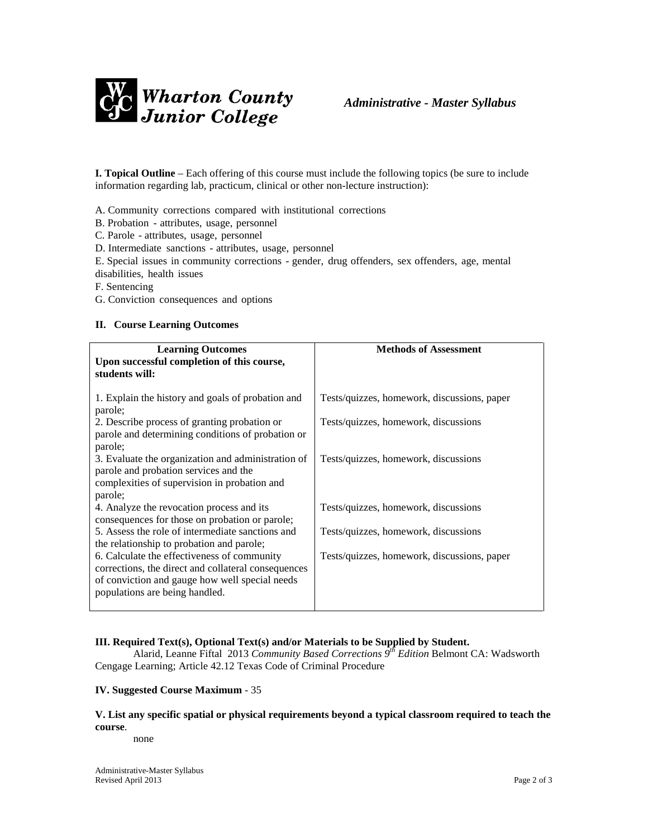

**I. Topical Outline** – Each offering of this course must include the following topics (be sure to include information regarding lab, practicum, clinical or other non-lecture instruction):

A. Community corrections compared with institutional corrections

- B. Probation attributes, usage, personnel
- C. Parole attributes, usage, personnel

D. Intermediate sanctions - attributes, usage, personnel

E. Special issues in community corrections - gender, drug offenders, sex offenders, age, mental disabilities, health issues

F. Sentencing

G. Conviction consequences and options

#### **II. Course Learning Outcomes**

| <b>Learning Outcomes</b><br>Upon successful completion of this course,<br>students will:                                                                                               | <b>Methods of Assessment</b>                |
|----------------------------------------------------------------------------------------------------------------------------------------------------------------------------------------|---------------------------------------------|
| 1. Explain the history and goals of probation and<br>parole;                                                                                                                           | Tests/quizzes, homework, discussions, paper |
| 2. Describe process of granting probation or<br>parole and determining conditions of probation or<br>parole;                                                                           | Tests/quizzes, homework, discussions        |
| 3. Evaluate the organization and administration of<br>parole and probation services and the<br>complexities of supervision in probation and<br>parole;                                 | Tests/quizzes, homework, discussions        |
| 4. Analyze the revocation process and its<br>consequences for those on probation or parole;                                                                                            | Tests/quizzes, homework, discussions        |
| 5. Assess the role of intermediate sanctions and<br>the relationship to probation and parole;                                                                                          | Tests/quizzes, homework, discussions        |
| 6. Calculate the effectiveness of community<br>corrections, the direct and collateral consequences<br>of conviction and gauge how well special needs<br>populations are being handled. | Tests/quizzes, homework, discussions, paper |

### **III. Required Text(s), Optional Text(s) and/or Materials to be Supplied by Student.**

Alarid, Leanne Fiftal 2013 *Community Based Corrections 9th Edition* Belmont CA: Wadsworth Cengage Learning; Article 42.12 Texas Code of Criminal Procedure

#### **IV. Suggested Course Maximum** - 35

### **V. List any specific spatial or physical requirements beyond a typical classroom required to teach the course**.

none